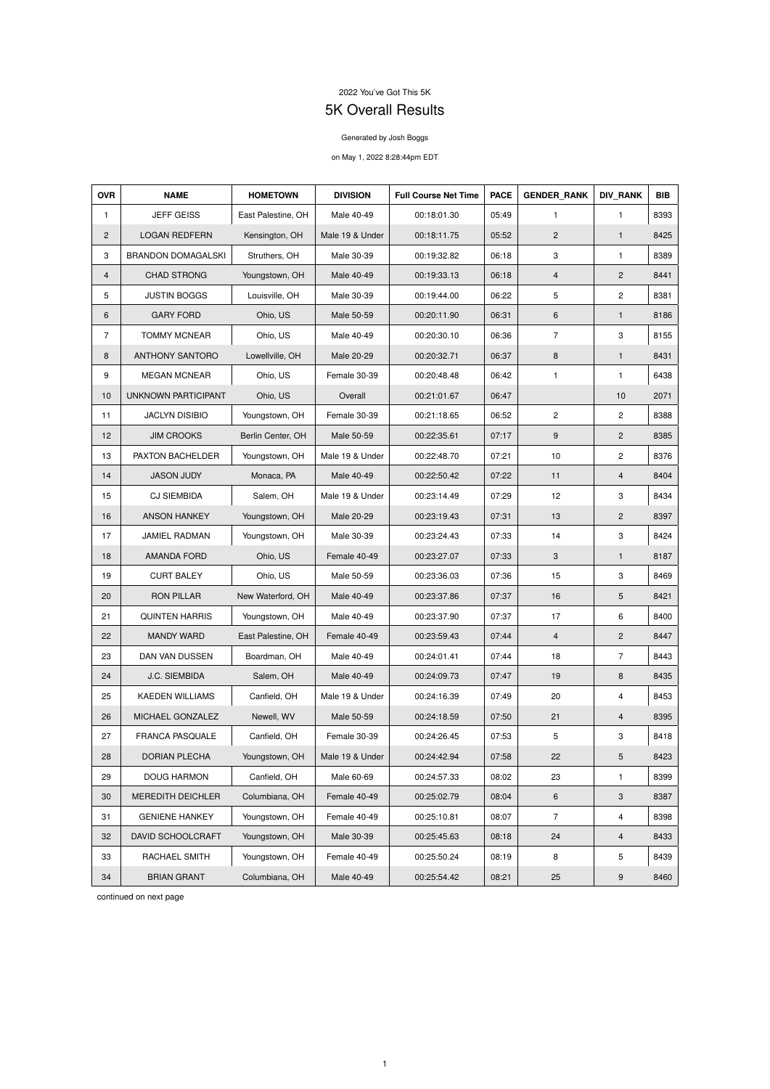## 2022 You've Got This 5K

## 5K Overall Results

## Generated by Josh Boggs

## on May 1, 2022 8:28:44pm EDT

| <b>OVR</b>     | <b>NAME</b>                | <b>HOMETOWN</b>    | <b>DIVISION</b> | <b>Full Course Net Time</b> | <b>PACE</b> | <b>GENDER RANK</b> | <b>DIV RANK</b>         | <b>BIB</b> |
|----------------|----------------------------|--------------------|-----------------|-----------------------------|-------------|--------------------|-------------------------|------------|
| 1              | <b>JEFF GEISS</b>          | East Palestine, OH | Male 40-49      | 00:18:01.30                 | 05:49       | $\mathbf{1}$       | $\mathbf{1}$            | 8393       |
| $\overline{2}$ | <b>LOGAN REDFERN</b>       | Kensington, OH     | Male 19 & Under | 00:18:11.75                 | 05:52       | $\mathbf{2}$       | $\mathbf{1}$            | 8425       |
| 3              | <b>BRANDON DOMAGALSKI</b>  | Struthers, OH      | Male 30-39      | 00:19:32.82                 | 06:18       | 3                  | $\mathbf{1}$            | 8389       |
| 4              | <b>CHAD STRONG</b>         | Youngstown, OH     | Male 40-49      | 00:19:33.13                 | 06:18       | $\overline{4}$     | $\overline{2}$          | 8441       |
| 5              | <b>JUSTIN BOGGS</b>        | Louisville, OH     | Male 30-39      | 00:19:44.00                 | 06:22       | 5                  | $\mathbf{2}$            | 8381       |
| 6              | <b>GARY FORD</b>           | Ohio, US           | Male 50-59      | 00:20:11.90                 | 06:31       | 6                  | $\mathbf{1}$            | 8186       |
| $\overline{7}$ | <b>TOMMY MCNEAR</b>        | Ohio, US           | Male 40-49      | 00:20:30.10                 | 06:36       | $\overline{7}$     | 3                       | 8155       |
| 8              | <b>ANTHONY SANTORO</b>     | Lowellville, OH    | Male 20-29      | 00:20:32.71                 | 06:37       | 8                  | $\mathbf{1}$            | 8431       |
| 9              | <b>MEGAN MCNEAR</b>        | Ohio, US           | Female 30-39    | 00:20:48.48                 | 06:42       | $\mathbf{1}$       | $\mathbf{1}$            | 6438       |
| 10             | <b>UNKNOWN PARTICIPANT</b> | Ohio, US           | Overall         | 00:21:01.67                 | 06:47       |                    | 10                      | 2071       |
| 11             | <b>JACLYN DISIBIO</b>      | Youngstown, OH     | Female 30-39    | 00:21:18.65                 | 06:52       | $\mathbf{2}$       | $\mathbf{2}$            | 8388       |
| 12             | <b>JIM CROOKS</b>          | Berlin Center, OH  | Male 50-59      | 00:22:35.61                 | 07:17       | 9                  | $\mathbf{2}$            | 8385       |
| 13             | PAXTON BACHELDER           | Youngstown, OH     | Male 19 & Under | 00:22:48.70                 | 07:21       | 10                 | $\sqrt{2}$              | 8376       |
| 14             | <b>JASON JUDY</b>          | Monaca, PA         | Male 40-49      | 00:22:50.42                 | 07:22       | 11                 | $\overline{\mathbf{4}}$ | 8404       |
| 15             | <b>CJ SIEMBIDA</b>         | Salem, OH          | Male 19 & Under | 00:23:14.49                 | 07:29       | 12                 | $\mathbf{3}$            | 8434       |
| 16             | <b>ANSON HANKEY</b>        | Youngstown, OH     | Male 20-29      | 00:23:19.43                 | 07:31       | 13                 | $\overline{2}$          | 8397       |
| 17             | <b>JAMIEL RADMAN</b>       | Youngstown, OH     | Male 30-39      | 00:23:24.43                 | 07:33       | 14                 | 3                       | 8424       |
| 18             | <b>AMANDA FORD</b>         | Ohio, US           | Female 40-49    | 00:23:27.07                 | 07:33       | 3                  | $\mathbf{1}$            | 8187       |
| 19             | <b>CURT BALEY</b>          | Ohio, US           | Male 50-59      | 00:23:36.03                 | 07:36       | 15                 | 3                       | 8469       |
| 20             | <b>RON PILLAR</b>          | New Waterford, OH  | Male 40-49      | 00:23:37.86                 | 07:37       | 16                 | 5                       | 8421       |
| 21             | <b>QUINTEN HARRIS</b>      | Youngstown, OH     | Male 40-49      | 00:23:37.90                 | 07:37       | 17                 | 6                       | 8400       |
| 22             | <b>MANDY WARD</b>          | East Palestine, OH | Female 40-49    | 00:23:59.43                 | 07:44       | $\overline{4}$     | $\overline{2}$          | 8447       |
| 23             | DAN VAN DUSSEN             | Boardman, OH       | Male 40-49      | 00:24:01.41                 | 07:44       | 18                 | $\overline{7}$          | 8443       |
| 24             | J.C. SIEMBIDA              | Salem, OH          | Male 40-49      | 00:24:09.73                 | 07:47       | 19                 | $\,8\,$                 | 8435       |
| 25             | <b>KAEDEN WILLIAMS</b>     | Canfield, OH       | Male 19 & Under | 00:24:16.39                 | 07:49       | 20                 | $\overline{4}$          | 8453       |
| 26             | MICHAEL GONZALEZ           | Newell, WV         | Male 50-59      | 00:24:18.59                 | 07:50       | 21                 | $\overline{4}$          | 8395       |
| 27             | FRANCA PASQUALE            | Canfield, OH       | Female 30-39    | 00:24:26.45                 | 07:53       | 5                  | 3                       | 8418       |
| 28             | <b>DORIAN PLECHA</b>       | Youngstown, OH     | Male 19 & Under | 00:24:42.94                 | 07:58       | 22                 | $\sqrt{5}$              | 8423       |
| 29             | <b>DOUG HARMON</b>         | Canfield, OH       | Male 60-69      | 00:24:57.33                 | 08:02       | 23                 | $\mathbf{1}$            | 8399       |
| 30             | <b>MEREDITH DEICHLER</b>   | Columbiana, OH     | Female 40-49    | 00:25:02.79                 | 08:04       | 6                  | $\sqrt{3}$              | 8387       |
| 31             | <b>GENIENE HANKEY</b>      | Youngstown, OH     | Female 40-49    | 00:25:10.81                 | 08:07       | $\overline{7}$     | $\overline{4}$          | 8398       |
| 32             | DAVID SCHOOLCRAFT          | Youngstown, OH     | Male 30-39      | 00:25:45.63                 | 08:18       | 24                 | $\overline{4}$          | 8433       |
| 33             | RACHAEL SMITH              | Youngstown, OH     | Female 40-49    | 00:25:50.24                 | 08:19       | 8                  | 5                       | 8439       |
| 34             | <b>BRIAN GRANT</b>         | Columbiana, OH     | Male 40-49      | 00:25:54.42                 | 08:21       | 25                 | 9                       | 8460       |

continued on next page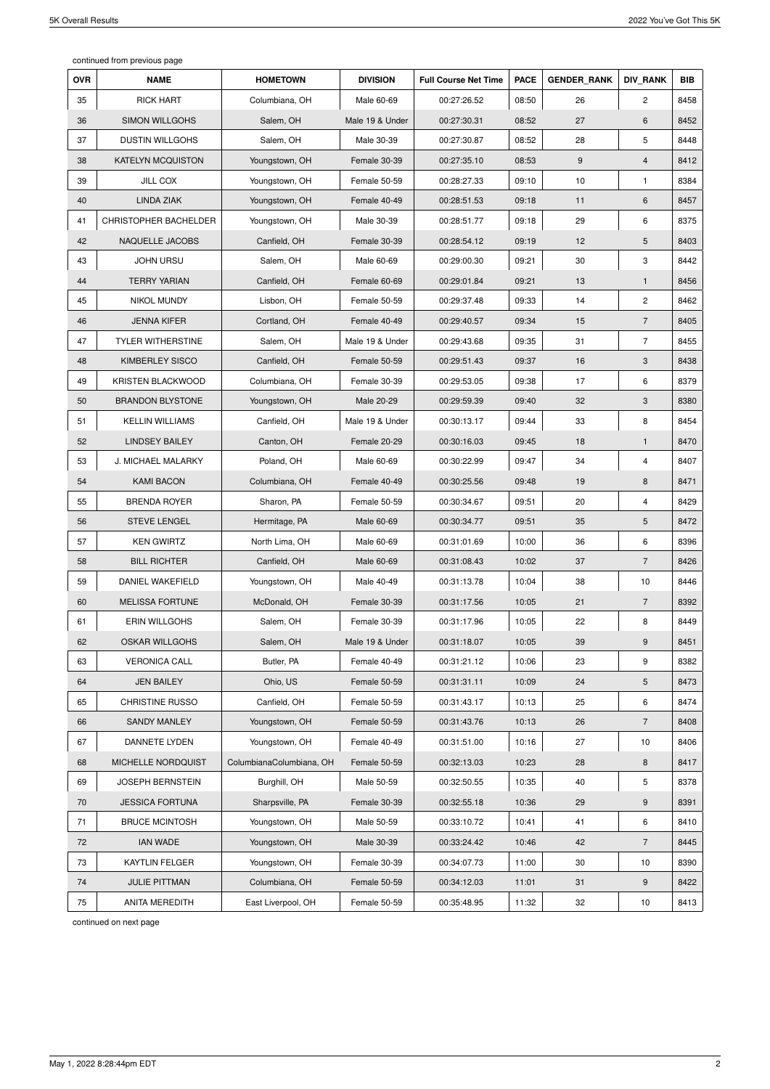continued from previous page

| <b>OVR</b> | <b>NAME</b>                  | <b>HOMETOWN</b>          | <b>DIVISION</b> | <b>Full Course Net Time</b> | <b>PACE</b> | <b>GENDER RANK</b> | <b>DIV_RANK</b> | <b>BIB</b> |
|------------|------------------------------|--------------------------|-----------------|-----------------------------|-------------|--------------------|-----------------|------------|
| 35         | <b>RICK HART</b>             | Columbiana, OH           | Male 60-69      | 00:27:26.52                 | 08:50       | 26                 | $\overline{2}$  | 8458       |
| 36         | <b>SIMON WILLGOHS</b>        | Salem, OH                | Male 19 & Under | 00:27:30.31                 | 08:52       | 27                 | 6               | 8452       |
| 37         | <b>DUSTIN WILLGOHS</b>       | Salem, OH                | Male 30-39      | 00:27:30.87                 | 08:52       | 28                 | 5               | 8448       |
| 38         | <b>KATELYN MCQUISTON</b>     | Youngstown, OH           | Female 30-39    | 00:27:35.10                 | 08:53       | 9                  | 4               | 8412       |
| 39         | <b>JILL COX</b>              | Youngstown, OH           | Female 50-59    | 00:28:27.33                 | 09:10       | 10                 | $\mathbf{1}$    | 8384       |
| 40         | <b>LINDA ZIAK</b>            | Youngstown, OH           | Female 40-49    | 00:28:51.53                 | 09:18       | 11                 | 6               | 8457       |
| 41         | <b>CHRISTOPHER BACHELDER</b> | Youngstown, OH           | Male 30-39      | 00:28:51.77                 | 09:18       | 29                 | 6               | 8375       |
| 42         | NAQUELLE JACOBS              | Canfield, OH             | Female 30-39    | 00:28:54.12                 | 09:19       | 12                 | 5               | 8403       |
| 43         | <b>JOHN URSU</b>             | Salem, OH                | Male 60-69      | 00:29:00.30                 | 09:21       | 30                 | 3               | 8442       |
| 44         | <b>TERRY YARIAN</b>          | Canfield, OH             | Female 60-69    | 00:29:01.84                 | 09:21       | 13                 | $\mathbf{1}$    | 8456       |
| 45         | <b>NIKOL MUNDY</b>           | Lisbon, OH               | Female 50-59    | 00:29:37.48                 | 09:33       | 14                 | 2               | 8462       |
| 46         | <b>JENNA KIFER</b>           | Cortland, OH             | Female 40-49    | 00:29:40.57                 | 09:34       | 15                 | $\overline{7}$  | 8405       |
| 47         | <b>TYLER WITHERSTINE</b>     | Salem, OH                | Male 19 & Under | 00:29:43.68                 | 09:35       | 31                 | 7               | 8455       |
| 48         | KIMBERLEY SISCO              | Canfield, OH             | Female 50-59    | 00:29:51.43                 | 09:37       | 16                 | 3               | 8438       |
| 49         | KRISTEN BLACKWOOD            | Columbiana, OH           | Female 30-39    | 00:29:53.05                 | 09:38       | 17                 | 6               | 8379       |
| 50         | <b>BRANDON BLYSTONE</b>      | Youngstown, OH           | Male 20-29      | 00:29:59.39                 | 09:40       | 32                 | 3               | 8380       |
| 51         | <b>KELLIN WILLIAMS</b>       | Canfield, OH             | Male 19 & Under | 00:30:13.17                 | 09:44       | 33                 | 8               | 8454       |
| 52         | <b>LINDSEY BAILEY</b>        | Canton, OH               | Female 20-29    | 00:30:16.03                 | 09:45       | 18                 | $\mathbf{1}$    | 8470       |
| 53         | J. MICHAEL MALARKY           | Poland, OH               | Male 60-69      | 00:30:22.99                 | 09:47       | 34                 | 4               | 8407       |
| 54         | <b>KAMI BACON</b>            | Columbiana, OH           | Female 40-49    | 00:30:25.56                 | 09:48       | 19                 | 8               | 8471       |
| 55         | <b>BRENDA ROYER</b>          | Sharon, PA               | Female 50-59    | 00:30:34.67                 | 09:51       | 20                 | 4               | 8429       |
| 56         | <b>STEVE LENGEL</b>          | Hermitage, PA            | Male 60-69      | 00:30:34.77                 | 09:51       | 35                 | 5               | 8472       |
| 57         | <b>KEN GWIRTZ</b>            | North Lima, OH           | Male 60-69      | 00:31:01.69                 | 10:00       | 36                 | 6               | 8396       |
| 58         | <b>BILL RICHTER</b>          | Canfield, OH             | Male 60-69      | 00:31:08.43                 | 10:02       | 37                 | $\overline{7}$  | 8426       |
| 59         | <b>DANIEL WAKEFIELD</b>      | Youngstown, OH           | Male 40-49      | 00:31:13.78                 | 10:04       | 38                 | 10              | 8446       |
| 60         | <b>MELISSA FORTUNE</b>       | McDonald, OH             | Female 30-39    | 00:31:17.56                 | 10:05       | 21                 | $\overline{7}$  | 8392       |
| 61         | ERIN WILLGOHS                | Salem, OH                | Female 30-39    | 00:31:17.96                 | 10:05       | 22                 | 8               | 8449       |
| 62         | <b>OSKAR WILLGOHS</b>        | Salem, OH                | Male 19 & Under | 00:31:18.07                 | 10:05       | 39                 | 9               | 8451       |
| 63         | <b>VERONICA CALL</b>         | Butler, PA               | Female 40-49    | 00:31:21.12                 | 10:06       | 23                 | 9               | 8382       |
| 64         | <b>JEN BAILEY</b>            | Ohio, US                 | Female 50-59    | 00:31:31.11                 | 10:09       | 24                 | 5               | 8473       |
| 65         | <b>CHRISTINE RUSSO</b>       | Canfield, OH             | Female 50-59    | 00:31:43.17                 | 10:13       | 25                 | 6               | 8474       |
| 66         | <b>SANDY MANLEY</b>          | Youngstown, OH           | Female 50-59    | 00:31:43.76                 | 10:13       | 26                 | $\overline{7}$  | 8408       |
| 67         | DANNETE LYDEN                | Youngstown, OH           | Female 40-49    | 00:31:51.00                 | 10:16       | 27                 | 10              | 8406       |
| 68         | MICHELLE NORDQUIST           | ColumbianaColumbiana, OH | Female 50-59    | 00:32:13.03                 | 10:23       | 28                 | 8               | 8417       |
| 69         | <b>JOSEPH BERNSTEIN</b>      | Burghill, OH             | Male 50-59      | 00:32:50.55                 | 10:35       | 40                 | 5               | 8378       |
| 70         | <b>JESSICA FORTUNA</b>       | Sharpsville, PA          | Female 30-39    | 00:32:55.18                 | 10:36       | 29                 | 9               | 8391       |
| 71         | <b>BRUCE MCINTOSH</b>        | Youngstown, OH           | Male 50-59      | 00:33:10.72                 | 10:41       | 41                 | 6               | 8410       |
| 72         | <b>IAN WADE</b>              | Youngstown, OH           | Male 30-39      | 00:33:24.42                 | 10:46       | 42                 | $\overline{7}$  | 8445       |
| 73         | <b>KAYTLIN FELGER</b>        | Youngstown, OH           | Female 30-39    | 00:34:07.73                 | 11:00       | 30                 | 10              | 8390       |
| 74         | <b>JULIE PITTMAN</b>         | Columbiana, OH           | Female 50-59    | 00:34:12.03                 | 11:01       | 31                 | 9               | 8422       |
| 75         | <b>ANITA MEREDITH</b>        | East Liverpool, OH       | Female 50-59    | 00:35:48.95                 | 11:32       | 32                 | 10              | 8413       |

continued on next page